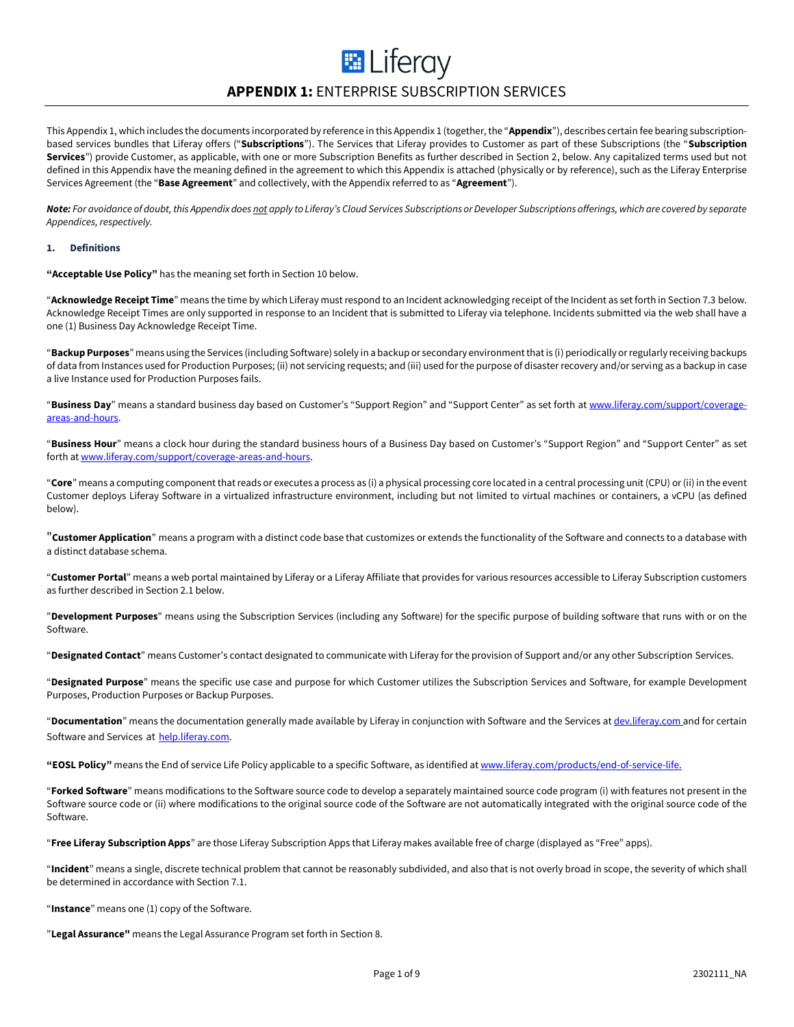## **E** Liferay **APPENDIX 1:** ENTERPRISE SUBSCRIPTION SERVICES

This Appendix 1, which includes the documents incorporated by reference in this Appendix 1 (together, the "**Appendix**"), describes certain fee bearing subscriptionbased services bundles that Liferay offers ("**Subscriptions**"). The Services that Liferay provides to Customer as part of these Subscriptions (the "**Subscription Services**") provide Customer, as applicable, with one or more Subscription Benefits as further described in Section 2, below. Any capitalized terms used but not defined in this Appendix have the meaning defined in the agreement to which this Appendix is attached (physically or by reference), such as the Liferay Enterprise Services Agreement (the "**Base Agreement**" and collectively, with the Appendix referred to as "**Agreement**").

*Note: For avoidance of doubt, this Appendix does not apply to Liferay's Cloud Services Subscriptions or Developer Subscriptions offerings, which are covered by separate Appendices, respectively.*

#### **1. Definitions**

**"Acceptable Use Policy"** has the meaning set forth in Section 10 below.

"**Acknowledge Receipt Time**" means the time by which Liferay must respond to an Incident acknowledging receipt of the Incident as set forth in Section 7.3 below. Acknowledge Receipt Times are only supported in response to an Incident that is submitted to Liferay via telephone. Incidents submitted via the web shall have a one (1) Business Day Acknowledge Receipt Time.

"**BackupPurposes**" means using the Services (including Software) solely in a backup or secondary environment that is (i) periodically or regularly receiving backups of data from Instances used for Production Purposes; (ii) not servicing requests; and (iii) used for the purpose of disaster recovery and/or serving as a backup in case a live Instance used for Production Purposes fails.

"**Business Day**" means a standard business day based on Customer's "Support Region" and "Support Center" as set forth a[t www.liferay.com/support/coverage](http://www.liferay.com/support/coverage-areas-and-hours)[areas-and-hours.](http://www.liferay.com/support/coverage-areas-and-hours)

"**Business Hour**" means a clock hour during the standard business hours of a Business Day based on Customer's "Support Region" and "Support Center" as set forth a[t www.liferay.com/support/coverage-areas-and-hours.](http://www.liferay.com/support/coverage-areas-and-hours)

"**Core**" means a computing component that reads or executes a process as (i) a physical processing core located in a central processing unit (CPU) or (ii) in the event Customer deploys Liferay Software in a virtualized infrastructure environment, including but not limited to virtual machines or containers, a vCPU (as defined below).

"**Customer Application**" means a program with a distinct code base that customizes or extends the functionality of the Software and connects to a database with a distinct database schema.

"**Customer Portal**" means a web portal maintained by Liferay or a Liferay Affiliate that provides for various resources accessible to Liferay Subscription customers as further described in Section 2.1 below.

"**Development Purposes**" means using the Subscription Services (including any Software) for the specific purpose of building software that runs with or on the Software.

"**Designated Contact**" means Customer's contact designated to communicate with Liferay for the provision of Support and/or any other Subscription Services.

"**Designated Purpose**" means the specific use case and purpose for which Customer utilizes the Subscription Services and Software, for example Development Purposes, Production Purposes or Backup Purposes.

"**Documentation**" means the documentation generally made available by Liferay in conjunction with Software and the Services at [dev.liferay.com](file:///C:/Users/olga.ernst/Documents/in.liferay.com/Legal%20Internal/Base%20Agreements/Enterprise%20Services%20Agreement%20(ESA)/Appendix%201%20(Subscription%20Services)/Revisions/v1.3.0%20(1301605)/dev.liferay.com) and for certain Software and Services at help.liferay.com.

**"EOSL Policy"** means the End of service Life Policy applicable to a specific Software, as identified a[t www.liferay.com/products/end-of-service-life.](https://www.liferay.com/products/end-of-service-life)

"**Forked Software**" means modifications to the Software source code to develop a separately maintained source code program (i) with features not present in the Software source code or (ii) where modifications to the original source code of the Software are not automatically integrated with the original source code of the Software.

"**Free Liferay Subscription Apps**" are those Liferay Subscription Apps that Liferay makes available free of charge (displayed as "Free" apps).

"**Incident**" means a single, discrete technical problem that cannot be reasonably subdivided, and also that is not overly broad in scope, the severity of which shall be determined in accordance with Section 7.1.

"**Instance**" means one (1) copy of the Software.

"**Legal Assurance"** means the Legal Assurance Program set forth in Section 8.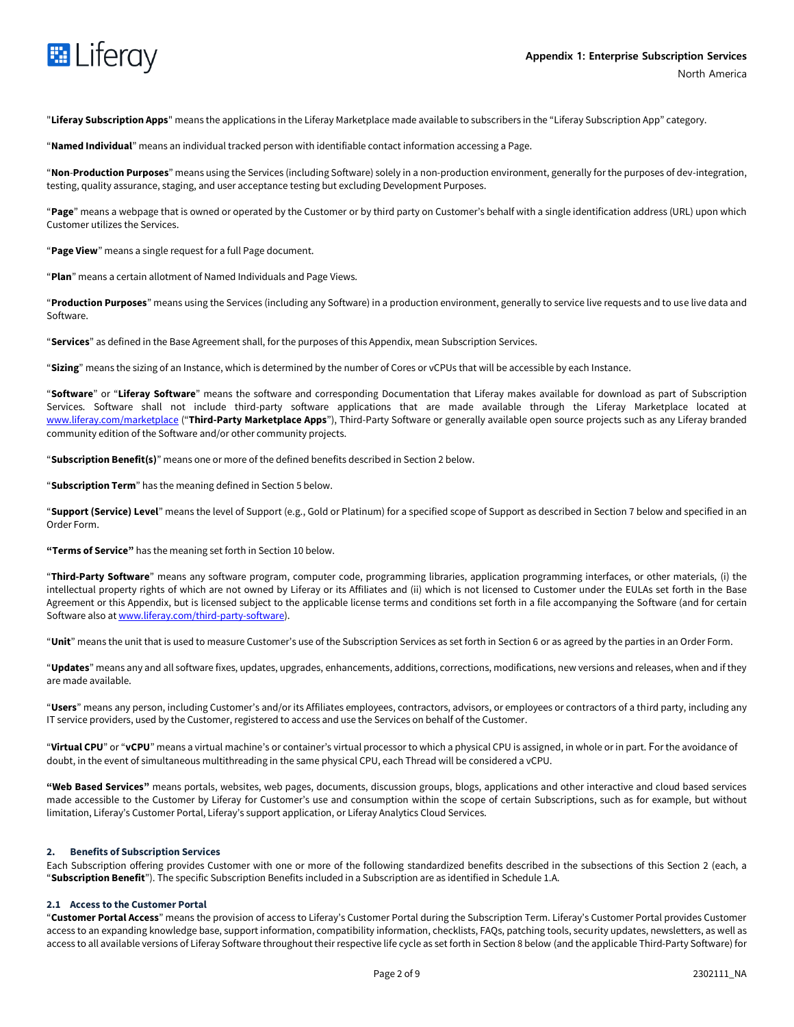

"**Liferay Subscription Apps**" means the applications in the Liferay Marketplace made available to subscribers in the "Liferay Subscription App" category.

"**Named Individual**" means an individual tracked person with identifiable contact information accessing a Page.

"**Non**-**Production Purposes**" means using the Services (including Software) solely in a non-production environment, generally for the purposes of dev-integration, testing, quality assurance, staging, and user acceptance testing but excluding Development Purposes.

"**Page**" means a webpage that is owned or operated by the Customer or by third party on Customer's behalf with a single identification address (URL) upon which Customer utilizes the Services.

"**Page View**" means a single request for a full Page document.

"**Plan**" means a certain allotment of Named Individuals and Page Views.

"**Production Purposes**" means using the Services (including any Software) in a production environment, generally to service live requests and to use live data and Software.

"**Services**" as defined in the Base Agreement shall, for the purposes of this Appendix, mean Subscription Services.

"**Sizing**" means the sizing of an Instance, which is determined by the number of Cores or vCPUs that will be accessible by each Instance.

"**Software**" or "**Liferay Software**" means the software and corresponding Documentation that Liferay makes available for download as part of Subscription Services. Software shall not include third-party software applications that are made available through the Liferay Marketplace located at [www.liferay.com/marketplace](http://www.liferay.com/marketplace) ("**Third-Party Marketplace Apps**"), Third-Party Software or generally available open source projects such as any Liferay branded community edition of the Software and/or other community projects.

"**Subscription Benefit(s)**" means one or more of the defined benefits described in Section 2 below.

"**Subscription Term**" has the meaning defined in Section 5 below.

"**Support (Service) Level**" means the level of Support (e.g., Gold or Platinum) for a specified scope of Support as described in Section 7 below and specified in an Order Form.

**"Terms of Service"** has the meaning set forth in Section 10 below.

"**Third-Party Software**" means any software program, computer code, programming libraries, application programming interfaces, or other materials, (i) the intellectual property rights of which are not owned by Liferay or its Affiliates and (ii) which is not licensed to Customer under the EULAs set forth in the Base Agreement or this Appendix, but is licensed subject to the applicable license terms and conditions set forth in a file accompanying the Software (and for certain Software also a[t www.liferay.com/third-party-software\)](http://www.liferay.com/third-party-software).

"**Unit**" means the unit that is used to measure Customer's use of the Subscription Services as set forth in Section 6 or as agreed by the parties in an Order Form.

"**Updates**" means any and all software fixes, updates, upgrades, enhancements, additions, corrections, modifications, new versions and releases, when and if they are made available.

"**Users**" means any person, including Customer's and/or its Affiliates employees, contractors, advisors, or employees or contractors of a third party, including any IT service providers, used by the Customer, registered to access and use the Services on behalf of the Customer.

"**Virtual CPU**" or "**vCPU**" means a virtual machine's or container's virtual processor to which a physical CPU is assigned, in whole or in part. For the avoidance of doubt, in the event of simultaneous multithreading in the same physical CPU, each Thread will be considered a vCPU.

**"Web Based Services"** means portals, websites, web pages, documents, discussion groups, blogs, applications and other interactive and cloud based services made accessible to the Customer by Liferay for Customer's use and consumption within the scope of certain Subscriptions, such as for example, but without limitation, Liferay's Customer Portal, Liferay's support application, or Liferay Analytics Cloud Services.

#### **2. Benefits of Subscription Services**

Each Subscription offering provides Customer with one or more of the following standardized benefits described in the subsections of this Section 2 (each, a "**Subscription Benefit**"). The specific Subscription Benefits included in a Subscription are as identified in Schedule 1.A.

#### **2.1 Access to the Customer Portal**

"**Customer Portal Access**" means the provision of access to Liferay's Customer Portal during the Subscription Term. Liferay's Customer Portal provides Customer access to an expanding knowledge base, support information, compatibility information, checklists, FAQs, patching tools, security updates, newsletters, as well as access to all available versions of Liferay Software throughout their respective life cycle as set forth in Section 8 below (and the applicable Third-Party Software) for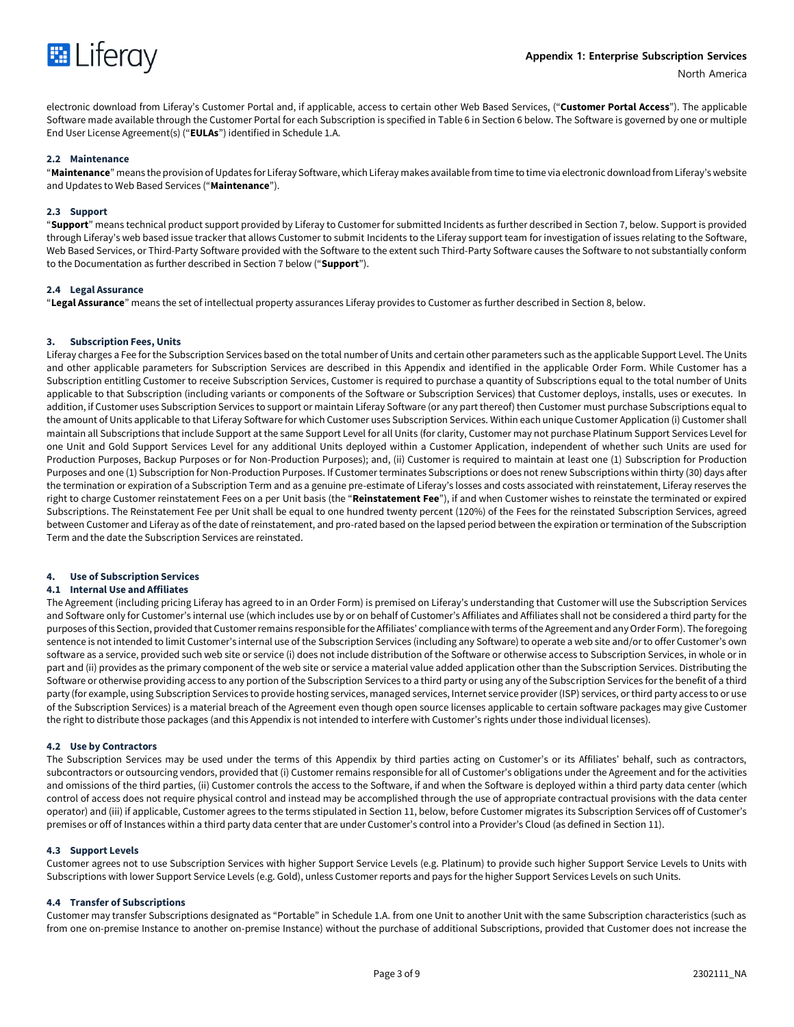

electronic download from Liferay's Customer Portal and, if applicable, access to certain other Web Based Services, ("**Customer Portal Access**"). The applicable Software made available through the Customer Portal for each Subscription is specified in Table 6 in Section 6 below. The Software is governed by one or multiple End User License Agreement(s) ("**EULAs**") identified in Schedule 1.A.

## **2.2 Maintenance**

"**Maintenance**" means the provision of Updates for Liferay Software, which Liferay makes available from time to time via electronic download from Liferay's website and Updates to Web Based Services ("**Maintenance**").

#### **2.3 Support**

"**Support**" means technical product support provided by Liferay to Customer for submitted Incidents as further described in Section 7, below. Support is provided through Liferay's web based issue tracker that allows Customer to submit Incidents to the Liferay support team for investigation of issues relating to the Software, Web Based Services, or Third-Party Software provided with the Software to the extent such Third-Party Software causes the Software to not substantially conform to the Documentation as further described in Section 7 below ("**Support**").

#### **2.4 Legal Assurance**

"**Legal Assurance**" means the set of intellectual property assurances Liferay provides to Customer as further described in Section 8, below.

#### **3. Subscription Fees, Units**

Liferay charges a Fee for the Subscription Services based on the total number of Units and certain other parameters such as the applicable Support Level. The Units and other applicable parameters for Subscription Services are described in this Appendix and identified in the applicable Order Form. While Customer has a Subscription entitling Customer to receive Subscription Services, Customer is required to purchase a quantity of Subscriptions equal to the total number of Units applicable to that Subscription (including variants or components of the Software or Subscription Services) that Customer deploys, installs, uses or executes. In addition, if Customer uses Subscription Services to support or maintain Liferay Software (or any part thereof) then Customer must purchase Subscriptions equal to the amount of Units applicable to that Liferay Software for which Customer uses Subscription Services. Within each unique Customer Application (i) Customer shall maintain all Subscriptions that include Support at the same Support Level for all Units (for clarity, Customer may not purchase Platinum Support Services Level for one Unit and Gold Support Services Level for any additional Units deployed within a Customer Application, independent of whether such Units are used for Production Purposes, Backup Purposes or for Non-Production Purposes); and, (ii) Customer is required to maintain at least one (1) Subscription for Production Purposes and one (1) Subscription for Non-Production Purposes. If Customer terminates Subscriptions or does not renew Subscriptions within thirty (30) days after the termination or expiration of a Subscription Term and as a genuine pre-estimate of Liferay's losses and costs associated with reinstatement, Liferay reserves the right to charge Customer reinstatement Fees on a per Unit basis (the "**Reinstatement Fee**"), if and when Customer wishes to reinstate the terminated or expired Subscriptions. The Reinstatement Fee per Unit shall be equal to one hundred twenty percent (120%) of the Fees for the reinstated Subscription Services, agreed between Customer and Liferay as of the date of reinstatement, and pro-rated based on the lapsed period between the expiration or termination of the Subscription Term and the date the Subscription Services are reinstated.

## **4. Use of Subscription Services**

## **4.1 Internal Use and Affiliates**

The Agreement (including pricing Liferay has agreed to in an Order Form) is premised on Liferay's understanding that Customer will use the Subscription Services and Software only for Customer's internal use (which includes use by or on behalf of Customer's Affiliates and Affiliates shall not be considered a third party for the purposes of this Section, provided that Customer remains responsible for the Affiliates' compliance with terms of the Agreement and any Order Form). The foregoing sentence is not intended to limit Customer's internal use of the Subscription Services (including any Software) to operate a web site and/or to offer Customer's own software as a service, provided such web site or service (i) does not include distribution of the Software or otherwise access to Subscription Services, in whole or in part and (ii) provides as the primary component of the web site or service a material value added application other than the Subscription Services. Distributing the Software or otherwise providing access to any portion of the Subscription Services to a third party or using any of the Subscription Services for the benefit of a third party (for example, using Subscription Services to provide hosting services, managed services, Internet service provider (ISP) services, or third party access to or use of the Subscription Services) is a material breach of the Agreement even though open source licenses applicable to certain software packages may give Customer the right to distribute those packages (and this Appendix is not intended to interfere with Customer's rights under those individual licenses).

#### **4.2 Use by Contractors**

The Subscription Services may be used under the terms of this Appendix by third parties acting on Customer's or its Affiliates' behalf, such as contractors, subcontractors or outsourcing vendors, provided that (i) Customer remains responsible for all of Customer's obligations under the Agreement and for the activities and omissions of the third parties, (ii) Customer controls the access to the Software, if and when the Software is deployed within a third party data center (which control of access does not require physical control and instead may be accomplished through the use of appropriate contractual provisions with the data center operator) and (iii) if applicable, Customer agrees to the terms stipulated in Section 11, below, before Customer migrates its Subscription Services off of Customer's premises or off of Instances within a third party data center that are under Customer's control into a Provider's Cloud (as defined in Section 11).

#### **4.3 Support Levels**

Customer agrees not to use Subscription Services with higher Support Service Levels (e.g. Platinum) to provide such higher Support Service Levels to Units with Subscriptions with lower Support Service Levels (e.g. Gold), unless Customer reports and pays for the higher Support Services Levels on such Units.

#### **4.4 Transfer of Subscriptions**

Customer may transfer Subscriptions designated as "Portable" in Schedule 1.A. from one Unit to another Unit with the same Subscription characteristics (such as from one on-premise Instance to another on-premise Instance) without the purchase of additional Subscriptions, provided that Customer does not increase the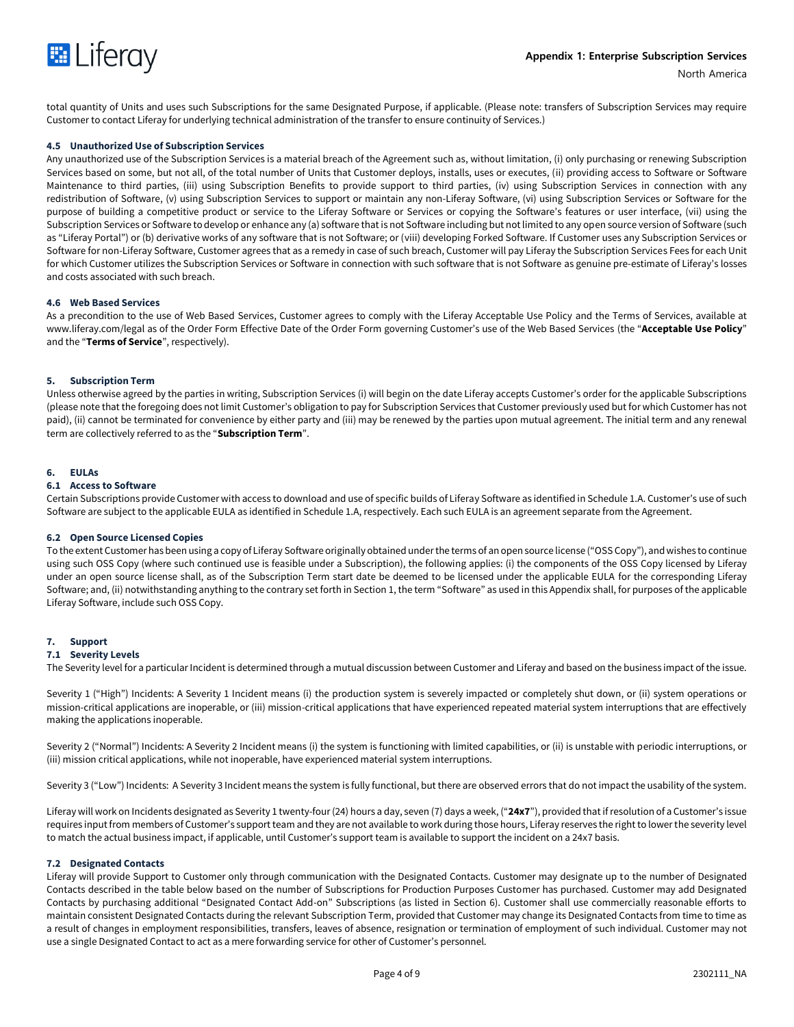

total quantity of Units and uses such Subscriptions for the same Designated Purpose, if applicable. (Please note: transfers of Subscription Services may require Customer to contact Liferay for underlying technical administration of the transfer to ensure continuity of Services.)

#### **4.5 Unauthorized Use of Subscription Services**

Any unauthorized use of the Subscription Services is a material breach of the Agreement such as, without limitation, (i) only purchasing or renewing Subscription Services based on some, but not all, of the total number of Units that Customer deploys, installs, uses or executes, (ii) providing access to Software or Software Maintenance to third parties, (iii) using Subscription Benefits to provide support to third parties, (iv) using Subscription Services in connection with any redistribution of Software, (v) using Subscription Services to support or maintain any non-Liferay Software, (vi) using Subscription Services or Software for the purpose of building a competitive product or service to the Liferay Software or Services or copying the Software's features or user interface, (vii) using the Subscription Services or Software to develop or enhance any (a) software that is not Software including but not limited to any open source version of Software (such as "Liferay Portal") or (b) derivative works of any software that is not Software; or (viii) developing Forked Software. If Customer uses any Subscription Services or Software for non-Liferay Software, Customer agrees that as a remedy in case of such breach, Customer will pay Liferay the Subscription Services Fees for each Unit for which Customer utilizes the Subscription Services or Software in connection with such software that is not Software as genuine pre-estimate of Liferay's losses and costs associated with such breach.

#### **4.6 Web Based Services**

As a precondition to the use of Web Based Services, Customer agrees to comply with the Liferay Acceptable Use Policy and the Terms of Services, available at www.liferay.com/legal as of the Order Form Effective Date of the Order Form governing Customer's use of the Web Based Services (the "**Acceptable Use Policy**" and the "**Terms of Service**", respectively).

#### **5. Subscription Term**

Unless otherwise agreed by the parties in writing, Subscription Services (i) will begin on the date Liferay accepts Customer's order for the applicable Subscriptions (please note that the foregoing does not limit Customer's obligation to pay for Subscription Services that Customer previously used but for which Customer has not paid), (ii) cannot be terminated for convenience by either party and (iii) may be renewed by the parties upon mutual agreement. The initial term and any renewal term are collectively referred to as the "**Subscription Term**".

#### **6. EULAs**

## **6.1 Access to Software**

Certain Subscriptions provide Customer with access to download and use of specific builds of Liferay Software as identified in Schedule 1.A. Customer's use of such Software are subject to the applicable EULA as identified in Schedule 1.A, respectively. Each such EULA is an agreement separate from the Agreement.

#### **6.2 Open Source Licensed Copies**

To the extent Customer has been using a copy of Liferay Software originally obtained under the terms of an open source license ("OSS Copy"), and wishes to continue using such OSS Copy (where such continued use is feasible under a Subscription), the following applies: (i) the components of the OSS Copy licensed by Liferay under an open source license shall, as of the Subscription Term start date be deemed to be licensed under the applicable EULA for the corresponding Liferay Software; and, (ii) notwithstanding anything to the contrary set forth in Section 1, the term "Software" as used in this Appendix shall, for purposes of the applicable Liferay Software, include such OSS Copy.

## **7. Support**

## **7.1 Severity Levels**

The Severity level for a particular Incident is determined through a mutual discussion between Customer and Liferay and based on the business impact of the issue.

Severity 1 ("High") Incidents: A Severity 1 Incident means (i) the production system is severely impacted or completely shut down, or (ii) system operations or mission-critical applications are inoperable, or (iii) mission-critical applications that have experienced repeated material system interruptions that are effectively making the applications inoperable.

Severity 2 ("Normal") Incidents: A Severity 2 Incident means (i) the system is functioning with limited capabilities, or (ii) is unstable with periodic interruptions, or (iii) mission critical applications, while not inoperable, have experienced material system interruptions.

Severity 3 ("Low") Incidents: A Severity 3 Incident means the system is fully functional, but there are observed errors that do not impact the usability of the system.

Liferay will work on Incidents designated as Severity 1 twenty-four (24) hours a day, seven (7) days a week, ("**24x7**"), provided that if resolution of a Customer's issue requires input from members of Customer's support team and they are not available to work during those hours, Liferay reserves the right to lower the severity level to match the actual business impact, if applicable, until Customer's support team is available to support the incident on a 24x7 basis.

#### **7.2 Designated Contacts**

Liferay will provide Support to Customer only through communication with the Designated Contacts. Customer may designate up to the number of Designated Contacts described in the table below based on the number of Subscriptions for Production Purposes Customer has purchased. Customer may add Designated Contacts by purchasing additional "Designated Contact Add-on" Subscriptions (as listed in Section 6). Customer shall use commercially reasonable efforts to maintain consistent Designated Contacts during the relevant Subscription Term, provided that Customer may change its Designated Contacts from time to time as a result of changes in employment responsibilities, transfers, leaves of absence, resignation or termination of employment of such individual. Customer may not use a single Designated Contact to act as a mere forwarding service for other of Customer's personnel.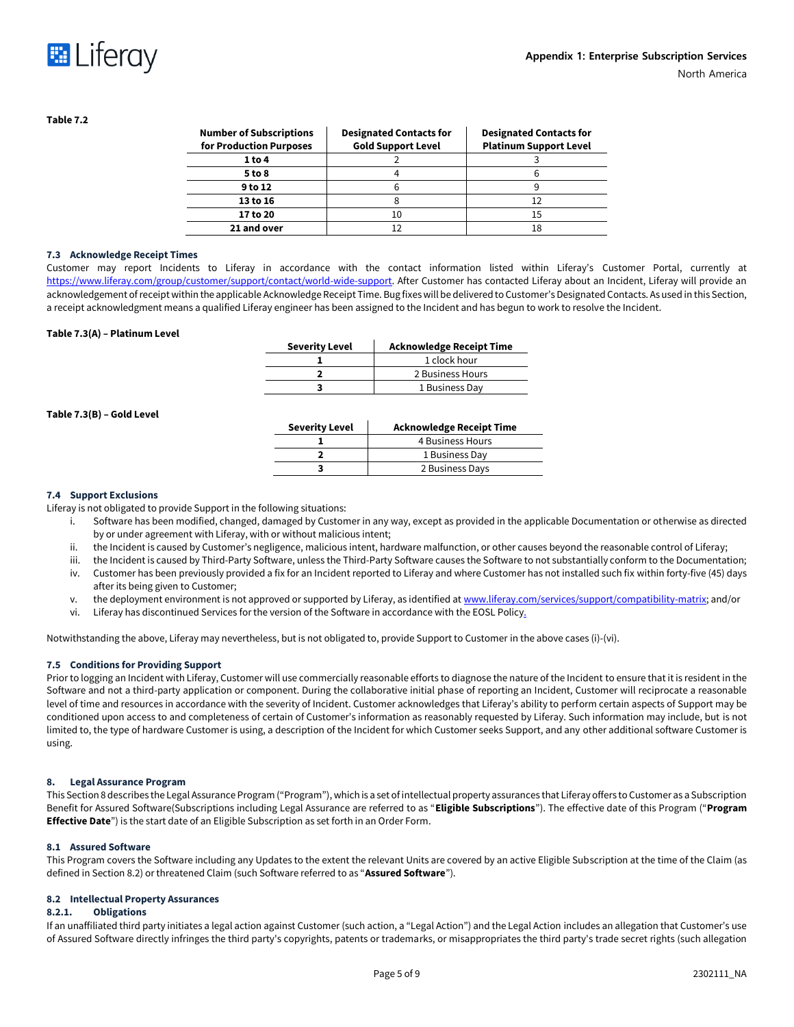



#### **Table 7.2**

| <b>Number of Subscriptions</b><br>for Production Purposes | <b>Designated Contacts for</b><br><b>Gold Support Level</b> | <b>Designated Contacts for</b><br><b>Platinum Support Level</b> |
|-----------------------------------------------------------|-------------------------------------------------------------|-----------------------------------------------------------------|
| 1 to 4                                                    |                                                             |                                                                 |
| 5 to 8                                                    |                                                             |                                                                 |
| 9 to 12                                                   |                                                             |                                                                 |
| 13 to 16                                                  |                                                             |                                                                 |
| 17 to 20                                                  |                                                             | 15                                                              |
| 21 and over                                               |                                                             | 18                                                              |

#### **7.3 Acknowledge Receipt Times**

Customer may report Incidents to Liferay in accordance with the contact information listed within Liferay's Customer Portal, currently at [https://www.liferay.com/group/customer/support/contact/world-wide-support.](https://www.liferay.com/group/customer/support/contact/world-wide-support) After Customer has contacted Liferay about an Incident, Liferay will provide an acknowledgement of receipt within the applicable Acknowledge Receipt Time. Bug fixes will be delivered to Customer's Designated Contacts. As used in this Section, a receipt acknowledgment means a qualified Liferay engineer has been assigned to the Incident and has begun to work to resolve the Incident.

#### **Table 7.3(A) – Platinum Level**

| <b>Severity Level</b> | <b>Acknowledge Receipt Time</b> |
|-----------------------|---------------------------------|
|                       | 1 clock hour                    |
|                       | 2 Business Hours                |
|                       | 1 Business Day                  |

#### **Table 7.3(B) – Gold Level**

| <b>Severity Level</b> | <b>Acknowledge Receipt Time</b> |
|-----------------------|---------------------------------|
|                       | 4 Business Hours                |
|                       | 1 Business Day                  |
|                       | 2 Business Days                 |

#### **7.4 Support Exclusions**

Liferay is not obligated to provide Support in the following situations:

- i. Software has been modified, changed, damaged by Customer in any way, except as provided in the applicable Documentation or otherwise as directed by or under agreement with Liferay, with or without malicious intent;
- ii. the Incident is caused by Customer's negligence, malicious intent, hardware malfunction, or other causes beyond the reasonable control of Liferay;
- iii. the Incident is caused by Third-Party Software, unless the Third-Party Software causes the Software to not substantially conform to the Documentation;
- iv. Customer has been previously provided a fix for an Incident reported to Liferay and where Customer has not installed such fix within forty-five (45) days after its being given to Customer;
- v. the deployment environment is not approved or supported by Liferay, as identified at [www.liferay.com/services/support/compatibility-matrix;](http://www.liferay.com/services/support/compatibility-matrix) and/or
- vi. Liferay has discontinued Services for the version of the Software in accordance with the EOSL Policy.

Notwithstanding the above, Liferay may nevertheless, but is not obligated to, provide Support to Customer in the above cases (i)-(vi).

## **7.5 Conditions for Providing Support**

Prior to logging an Incident with Liferay, Customer will use commercially reasonable efforts to diagnose the nature of the Incident to ensure that it is resident in the Software and not a third-party application or component. During the collaborative initial phase of reporting an Incident, Customer will reciprocate a reasonable level of time and resources in accordance with the severity of Incident. Customer acknowledges that Liferay's ability to perform certain aspects of Support may be conditioned upon access to and completeness of certain of Customer's information as reasonably requested by Liferay. Such information may include, but is not limited to, the type of hardware Customer is using, a description of the Incident for which Customer seeks Support, and any other additional software Customer is using.

## **8. Legal Assurance Program**

This Section 8 describes the Legal Assurance Program ("Program"), which is a set of intellectual property assurances that Liferay offers to Customer as a Subscription Benefit for Assured Software(Subscriptions including Legal Assurance are referred to as "**Eligible Subscriptions**"). The effective date of this Program ("**Program Effective Date**") is the start date of an Eligible Subscription as set forth in an Order Form.

#### **8.1 Assured Software**

This Program covers the Software including any Updates to the extent the relevant Units are covered by an active Eligible Subscription at the time of the Claim (as defined in Section 8.2) or threatened Claim (such Software referred to as "**Assured Software**").

#### **8.2 Intellectual Property Assurances**

#### **8.2.1. Obligations**

If an unaffiliated third party initiates a legal action against Customer (such action, a "Legal Action") and the Legal Action includes an allegation that Customer's use of Assured Software directly infringes the third party's copyrights, patents or trademarks, or misappropriates the third party's trade secret rights (such allegation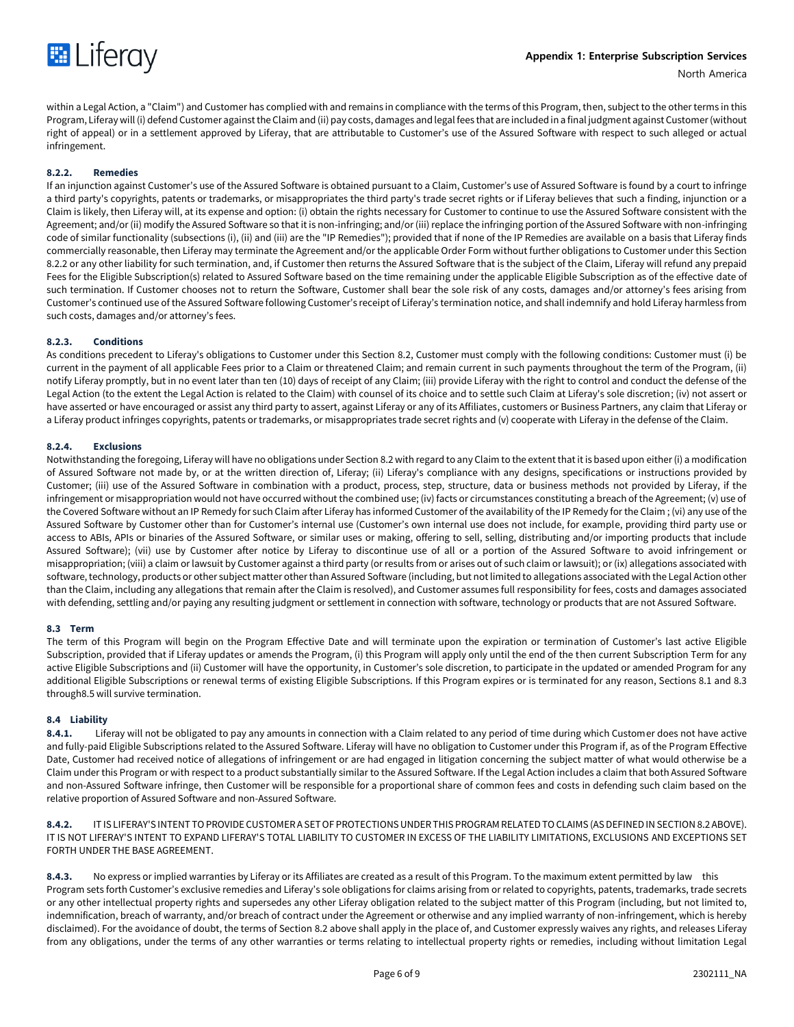

within a Legal Action, a "Claim") and Customer has complied with and remains in compliance with the terms of this Program, then, subject to the other terms in this Program, Liferay will (i) defend Customer against the Claim and (ii) pay costs, damages and legal fees that are included in a final judgment against Customer (without right of appeal) or in a settlement approved by Liferay, that are attributable to Customer's use of the Assured Software with respect to such alleged or actual infringement.

## **8.2.2. Remedies**

If an injunction against Customer's use of the Assured Software is obtained pursuant to a Claim, Customer's use of Assured Software is found by a court to infringe a third party's copyrights, patents or trademarks, or misappropriates the third party's trade secret rights or if Liferay believes that such a finding, injunction or a Claim is likely, then Liferay will, at its expense and option: (i) obtain the rights necessary for Customer to continue to use the Assured Software consistent with the Agreement; and/or (ii) modify the Assured Software so that it is non-infringing; and/or (iii) replace the infringing portion of the Assured Software with non-infringing code of similar functionality (subsections (i), (ii) and (iii) are the "IP Remedies"); provided that if none of the IP Remedies are available on a basis that Liferay finds commercially reasonable, then Liferay may terminate the Agreement and/or the applicable Order Form without further obligations to Customer under this Section 8.2.2 or any other liability for such termination, and, if Customer then returns the Assured Software that is the subject of the Claim, Liferay will refund any prepaid Fees for the Eligible Subscription(s) related to Assured Software based on the time remaining under the applicable Eligible Subscription as of the effective date of such termination. If Customer chooses not to return the Software, Customer shall bear the sole risk of any costs, damages and/or attorney's fees arising from Customer's continued use of the Assured Software following Customer's receipt of Liferay's termination notice, and shall indemnify and hold Liferay harmless from such costs, damages and/or attorney's fees.

#### **8.2.3. Conditions**

As conditions precedent to Liferay's obligations to Customer under this Section 8.2, Customer must comply with the following conditions: Customer must (i) be current in the payment of all applicable Fees prior to a Claim or threatened Claim; and remain current in such payments throughout the term of the Program, (ii) notify Liferay promptly, but in no event later than ten (10) days of receipt of any Claim; (iii) provide Liferay with the right to control and conduct the defense of the Legal Action (to the extent the Legal Action is related to the Claim) with counsel of its choice and to settle such Claim at Liferay's sole discretion; (iv) not assert or have asserted or have encouraged or assist any third party to assert, against Liferay or any of its Affiliates, customers or Business Partners, any claim that Liferay or a Liferay product infringes copyrights, patents or trademarks, or misappropriates trade secret rights and (v) cooperate with Liferay in the defense of the Claim.

#### **8.2.4. Exclusions**

Notwithstanding the foregoing, Liferay will have no obligations under Section 8.2 with regard to any Claim to the extent that it is based upon either (i) a modification of Assured Software not made by, or at the written direction of, Liferay; (ii) Liferay's compliance with any designs, specifications or instructions provided by Customer; (iii) use of the Assured Software in combination with a product, process, step, structure, data or business methods not provided by Liferay, if the infringement or misappropriation would not have occurred without the combined use; (iv) facts or circumstances constituting a breach of the Agreement; (v) use of the Covered Software without an IP Remedy for such Claim after Liferay has informed Customer of the availability of the IP Remedy for the Claim ; (vi) any use of the Assured Software by Customer other than for Customer's internal use (Customer's own internal use does not include, for example, providing third party use or access to ABIs, APIs or binaries of the Assured Software, or similar uses or making, offering to sell, selling, distributing and/or importing products that include Assured Software); (vii) use by Customer after notice by Liferay to discontinue use of all or a portion of the Assured Software to avoid infringement or misappropriation; (viii) a claim or lawsuit by Customer against a third party (or results from or arises out of such claim or lawsuit); or (ix) allegations associated with software, technology, products or other subject matter other than Assured Software (including, but not limited to allegations associated with the Legal Action other than the Claim, including any allegations that remain after the Claim is resolved), and Customer assumes full responsibility for fees, costs and damages associated with defending, settling and/or paying any resulting judgment or settlement in connection with software, technology or products that are not Assured Software.

#### **8.3 Term**

The term of this Program will begin on the Program Effective Date and will terminate upon the expiration or termination of Customer's last active Eligible Subscription, provided that if Liferay updates or amends the Program, (i) this Program will apply only until the end of the then current Subscription Term for any active Eligible Subscriptions and (ii) Customer will have the opportunity, in Customer's sole discretion, to participate in the updated or amended Program for any additional Eligible Subscriptions or renewal terms of existing Eligible Subscriptions. If this Program expires or is terminated for any reason, Sections 8.1 and 8.3 through8.5 will survive termination.

## **8.4 Liability**

**8.4.1.** Liferay will not be obligated to pay any amounts in connection with a Claim related to any period of time during which Customer does not have active and fully-paid Eligible Subscriptions related to the Assured Software. Liferay will have no obligation to Customer under this Program if, as of the Program Effective Date, Customer had received notice of allegations of infringement or are had engaged in litigation concerning the subject matter of what would otherwise be a Claim under this Program or with respect to a product substantially similar to the Assured Software. If the Legal Action includes a claim that both Assured Software and non-Assured Software infringe, then Customer will be responsible for a proportional share of common fees and costs in defending such claim based on the relative proportion of Assured Software and non-Assured Software.

**8.4.2.** IT IS LIFERAY'S INTENT TO PROVIDE CUSTOMER A SET OF PROTECTIONS UNDER THIS PROGRAM RELATED TO CLAIMS (AS DEFINED IN SECTION 8.2 ABOVE). IT IS NOT LIFERAY'S INTENT TO EXPAND LIFERAY'S TOTAL LIABILITY TO CUSTOMER IN EXCESS OF THE LIABILITY LIMITATIONS, EXCLUSIONS AND EXCEPTIONS SET FORTH UNDER THE BASE AGREEMENT.

**8.4.3.** No express or implied warranties by Liferay or its Affiliates are created as a result of this Program. To the maximum extent permitted by law this Program sets forth Customer's exclusive remedies and Liferay's sole obligations for claims arising from or related to copyrights, patents, trademarks, trade secrets or any other intellectual property rights and supersedes any other Liferay obligation related to the subject matter of this Program (including, but not limited to, indemnification, breach of warranty, and/or breach of contract under the Agreement or otherwise and any implied warranty of non-infringement, which is hereby disclaimed). For the avoidance of doubt, the terms of Section 8.2 above shall apply in the place of, and Customer expressly waives any rights, and releases Liferay from any obligations, under the terms of any other warranties or terms relating to intellectual property rights or remedies, including without limitation Legal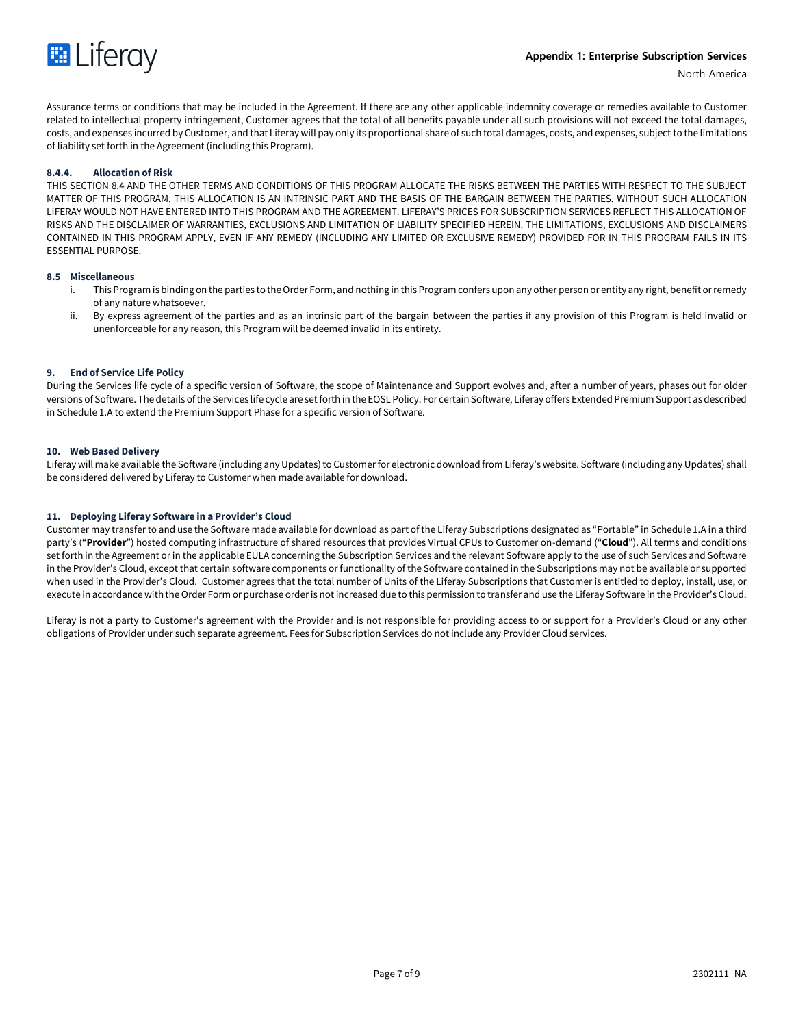

Assurance terms or conditions that may be included in the Agreement. If there are any other applicable indemnity coverage or remedies available to Customer related to intellectual property infringement, Customer agrees that the total of all benefits payable under all such provisions will not exceed the total damages, costs, and expenses incurred by Customer, and that Liferay will pay only its proportional share of such total damages, costs, and expenses, subject to the limitations of liability set forth in the Agreement (including this Program).

#### **8.4.4. Allocation of Risk**

THIS SECTION 8.4 AND THE OTHER TERMS AND CONDITIONS OF THIS PROGRAM ALLOCATE THE RISKS BETWEEN THE PARTIES WITH RESPECT TO THE SUBJECT MATTER OF THIS PROGRAM. THIS ALLOCATION IS AN INTRINSIC PART AND THE BASIS OF THE BARGAIN BETWEEN THE PARTIES. WITHOUT SUCH ALLOCATION LIFERAY WOULD NOT HAVE ENTERED INTO THIS PROGRAM AND THE AGREEMENT. LIFERAY'S PRICES FOR SUBSCRIPTION SERVICES REFLECT THIS ALLOCATION OF RISKS AND THE DISCLAIMER OF WARRANTIES, EXCLUSIONS AND LIMITATION OF LIABILITY SPECIFIED HEREIN. THE LIMITATIONS, EXCLUSIONS AND DISCLAIMERS CONTAINED IN THIS PROGRAM APPLY, EVEN IF ANY REMEDY (INCLUDING ANY LIMITED OR EXCLUSIVE REMEDY) PROVIDED FOR IN THIS PROGRAM FAILS IN ITS ESSENTIAL PURPOSE.

#### **8.5 Miscellaneous**

- i. This Program is binding on the parties to the Order Form, and nothing in this Program confers upon any other person or entity any right, benefit or remedy of any nature whatsoever.
- ii. By express agreement of the parties and as an intrinsic part of the bargain between the parties if any provision of this Program is held invalid or unenforceable for any reason, this Program will be deemed invalid in its entirety.

#### **9. End of Service Life Policy**

During the Services life cycle of a specific version of Software, the scope of Maintenance and Support evolves and, after a number of years, phases out for older versions of Software. The details of the Services life cycle are set forth in the EOSL Policy. For certain Software, Liferay offers Extended Premium Support as described in Schedule 1.A to extend the Premium Support Phase for a specific version of Software.

#### **10. Web Based Delivery**

Liferay will make available the Software (including any Updates) to Customer for electronic download from Liferay's website. Software (including any Updates) shall be considered delivered by Liferay to Customer when made available for download.

#### **11. Deploying Liferay Software in a Provider's Cloud**

Customer may transfer to and use the Software made available for download as part of the Liferay Subscriptions designated as "Portable" in Schedule 1.A in a third party's ("**Provider**") hosted computing infrastructure of shared resources that provides Virtual CPUs to Customer on-demand ("**Cloud**"). All terms and conditions set forth in the Agreement or in the applicable EULA concerning the Subscription Services and the relevant Software apply to the use of such Services and Software in the Provider's Cloud, except that certain software components or functionality of the Software contained in the Subscriptions may not be available or supported when used in the Provider's Cloud. Customer agrees that the total number of Units of the Liferay Subscriptions that Customer is entitled to deploy, install, use, or execute in accordance with the Order Form or purchase order is not increased due to this permission to transfer and use the Liferay Software in the Provider's Cloud.

Liferay is not a party to Customer's agreement with the Provider and is not responsible for providing access to or support for a Provider's Cloud or any other obligations of Provider under such separate agreement. Fees for Subscription Services do not include any Provider Cloud services.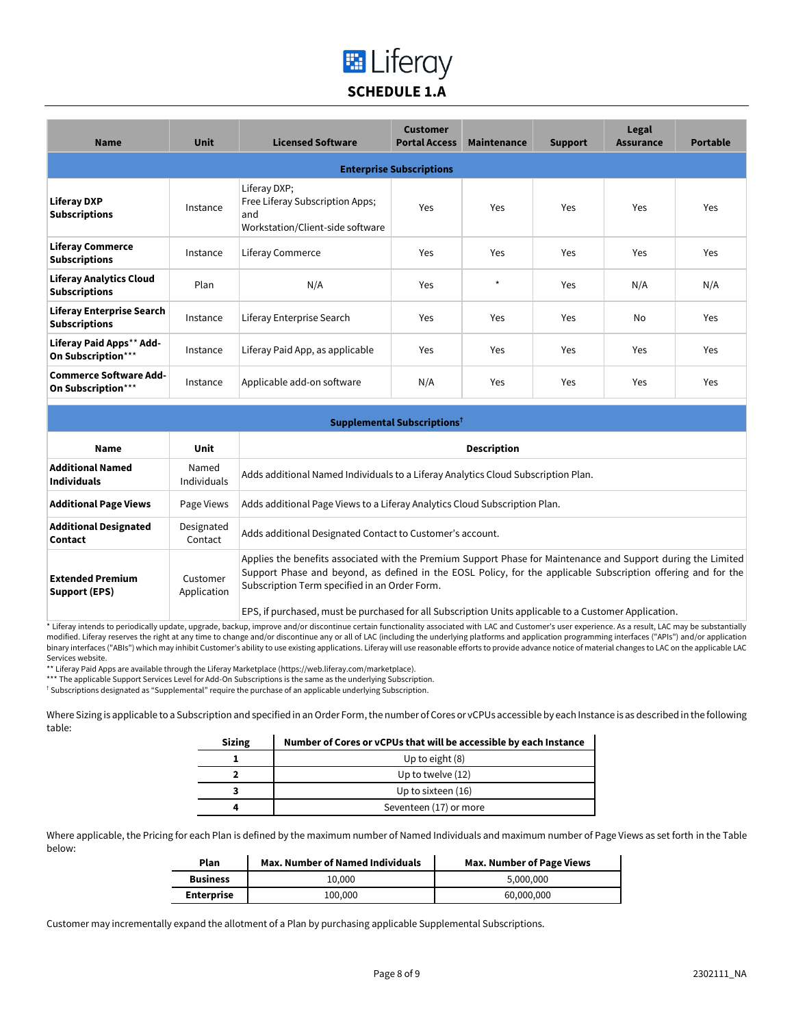# **E** Liferay **SCHEDULE 1.A**

| <b>Name</b>                                              | <b>Unit</b> | <b>Licensed Software</b>                                                                   | <b>Customer</b><br><b>Portal Access</b> | Maintenance | <b>Support</b> | Legal<br><b>Assurance</b> | <b>Portable</b> |
|----------------------------------------------------------|-------------|--------------------------------------------------------------------------------------------|-----------------------------------------|-------------|----------------|---------------------------|-----------------|
|                                                          |             |                                                                                            | <b>Enterprise Subscriptions</b>         |             |                |                           |                 |
| <b>Liferay DXP</b><br><b>Subscriptions</b>               | Instance    | Liferay DXP;<br>Free Liferay Subscription Apps;<br>and<br>Workstation/Client-side software | Yes                                     | Yes         | Yes            | <b>Yes</b>                | Yes             |
| <b>Liferay Commerce</b><br><b>Subscriptions</b>          | Instance    | Liferay Commerce                                                                           | Yes                                     | Yes         | Yes            | <b>Yes</b>                | Yes             |
| <b>Liferay Analytics Cloud</b><br><b>Subscriptions</b>   | Plan        | N/A                                                                                        | Yes                                     | $\star$     | Yes            | N/A                       | N/A             |
| <b>Liferay Enterprise Search</b><br><b>Subscriptions</b> | Instance    | Liferay Enterprise Search                                                                  | Yes                                     | Yes         | Yes            | N <sub>0</sub>            | Yes             |
| Liferay Paid Apps** Add-<br>On Subscription***           | Instance    | Liferay Paid App, as applicable                                                            | Yes                                     | Yes         | Yes            | Yes                       | Yes             |
| <b>Commerce Software Add-</b><br>On Subscription***      | Instance    | Applicable add-on software                                                                 | N/A                                     | Yes         | Yes            | <b>Yes</b>                | Yes             |

| Supplemental Subscriptions <sup>†</sup>        |                             |                                                                                                                                                                                                                                                                                                                                                                                                                                                                                                                     |
|------------------------------------------------|-----------------------------|---------------------------------------------------------------------------------------------------------------------------------------------------------------------------------------------------------------------------------------------------------------------------------------------------------------------------------------------------------------------------------------------------------------------------------------------------------------------------------------------------------------------|
| Name                                           | Unit                        | <b>Description</b>                                                                                                                                                                                                                                                                                                                                                                                                                                                                                                  |
| <b>Additional Named</b><br><b>Individuals</b>  | Named<br><b>Individuals</b> | Adds additional Named Individuals to a Liferay Analytics Cloud Subscription Plan.                                                                                                                                                                                                                                                                                                                                                                                                                                   |
| <b>Additional Page Views</b>                   | Page Views                  | Adds additional Page Views to a Liferay Analytics Cloud Subscription Plan.                                                                                                                                                                                                                                                                                                                                                                                                                                          |
| <b>Additional Designated</b><br><b>Contact</b> | Designated<br>Contact       | Adds additional Designated Contact to Customer's account.                                                                                                                                                                                                                                                                                                                                                                                                                                                           |
| <b>Extended Premium</b><br>Support (EPS)       | Customer<br>Application     | Applies the benefits associated with the Premium Support Phase for Maintenance and Support during the Limited<br>Support Phase and beyond, as defined in the EOSL Policy, for the applicable Subscription offering and for the<br>Subscription Term specified in an Order Form.<br>$\mathbf{r}$ , and the set of the set of the set of the set of the set of the set of the set of the set of the set of the set of the set of the set of the set of the set of the set of the set of the set of the set of the set |

EPS, if purchased, must be purchased for all Subscription Units applicable to a Customer Application.

\* Liferay intends to periodically update, upgrade, backup, improve and/or discontinue certain functionality associated with LAC and Customer's user experience. As a result, LAC may be substantially modified. Liferay reserves the right at any time to change and/or discontinue any or all of LAC (including the underlying platforms and application programming interfaces ("APIs") and/or application binary interfaces ("ABIs") which may inhibit Customer's ability to use existing applications. Liferay will use reasonable efforts to provide advance notice of material changes to LAC on the applicable LAC Services website.

\*\* Liferay Paid Apps are available through the Liferay Marketplace (https://web.liferay.com/marketplace).

\*\*\* The applicable Support Services Level for Add-On Subscriptions is the same as the underlying Subscription.

† Subscriptions designated as "Supplemental" require the purchase of an applicable underlying Subscription.

Where Sizing is applicable to a Subscription and specified in an Order Form, the number of Cores or vCPUs accessible by each Instance is as described in the following table:

| <b>Sizing</b> | Number of Cores or vCPUs that will be accessible by each Instance |
|---------------|-------------------------------------------------------------------|
|               | Up to eight (8)                                                   |
|               | Up to twelve (12)                                                 |
|               | Up to sixteen (16)                                                |
|               | Seventeen (17) or more                                            |

Where applicable, the Pricing for each Plan is defined by the maximum number of Named Individuals and maximum number of Page Views as set forth in the Table below:

| Plan              | <b>Max. Number of Named Individuals</b> | Max. Number of Page Views |
|-------------------|-----------------------------------------|---------------------------|
| <b>Business</b>   | 10.000                                  | 5.000.000                 |
| <b>Enterprise</b> | 100,000                                 | 60,000,000                |

Customer may incrementally expand the allotment of a Plan by purchasing applicable Supplemental Subscriptions.